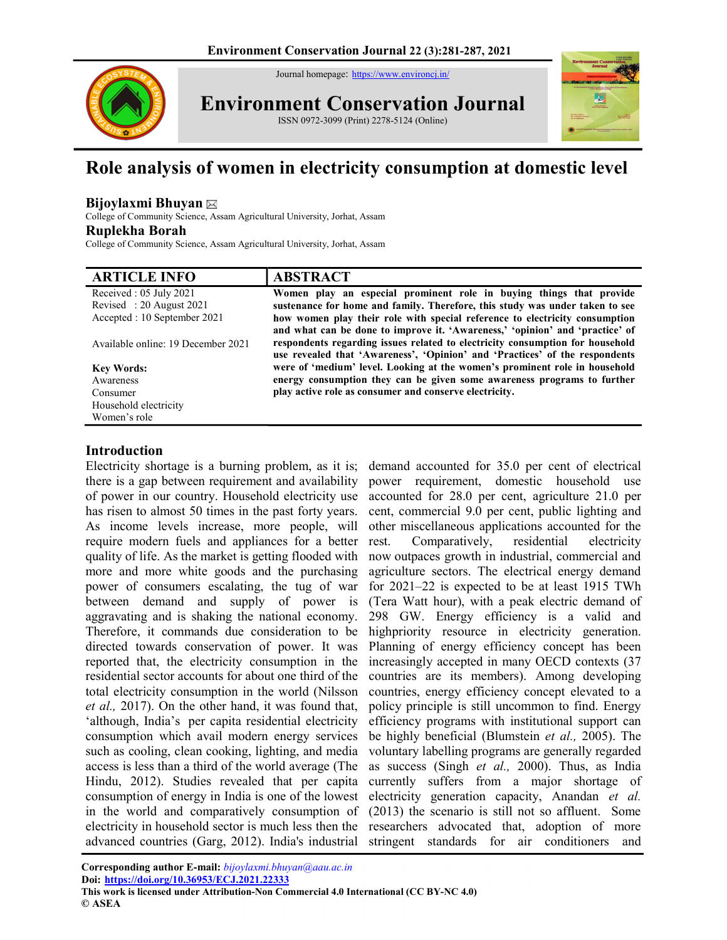Journal homepage: https://www.environcj.in/



Environment Conservation Journal





# Role analysis of women in electricity consumption at domestic level

# Bijoylaxmi Bhuyan

College of Community Science, Assam Agricultural University, Jorhat, Assam Ruplekha Borah

College of Community Science, Assam Agricultural University, Jorhat, Assam

| <b>ARTICLE INFO</b>                | <b>ABSTRACT</b>                                                               |
|------------------------------------|-------------------------------------------------------------------------------|
| Received : $05$ July 2021          | Women play an especial prominent role in buying things that provide           |
| Revised: 20 August 2021            | sustenance for home and family. Therefore, this study was under taken to see  |
| Accepted : 10 September 2021       | how women play their role with special reference to electricity consumption   |
|                                    | and what can be done to improve it. 'Awareness,' 'opinion' and 'practice' of  |
| Available online: 19 December 2021 | respondents regarding issues related to electricity consumption for household |
|                                    | use revealed that 'Awareness', 'Opinion' and 'Practices' of the respondents   |
| <b>Key Words:</b>                  | were of 'medium' level. Looking at the women's prominent role in household    |
| Awareness                          | energy consumption they can be given some awareness programs to further       |
| Consumer                           | play active role as consumer and conserve electricity.                        |
| Household electricity              |                                                                               |
| Women's role                       |                                                                               |

# Introduction

Electricity shortage is a burning problem, as it is; demand accounted for 35.0 per cent of electrical there is a gap between requirement and availability of power in our country. Household electricity use has risen to almost 50 times in the past forty years. As income levels increase, more people, will require modern fuels and appliances for a better quality of life. As the market is getting flooded with more and more white goods and the purchasing power of consumers escalating, the tug of war between demand and supply of power is aggravating and is shaking the national economy. Therefore, it commands due consideration to be directed towards conservation of power. It was reported that, the electricity consumption in the residential sector accounts for about one third of the total electricity consumption in the world (Nilsson et al., 2017). On the other hand, it was found that, 'although, India's per capita residential electricity consumption which avail modern energy services such as cooling, clean cooking, lighting, and media access is less than a third of the world average (The Hindu, 2012). Studies revealed that per capita consumption of energy in India is one of the lowest in the world and comparatively consumption of electricity in household sector is much less then the advanced countries (Garg, 2012). India's industrial

power requirement, domestic household use accounted for 28.0 per cent, agriculture 21.0 per cent, commercial 9.0 per cent, public lighting and other miscellaneous applications accounted for the rest. Comparatively, residential electricity now outpaces growth in industrial, commercial and agriculture sectors. The electrical energy demand for 2021–22 is expected to be at least 1915 TWh (Tera Watt hour), with a peak electric demand of 298 GW. Energy efficiency is a valid and highpriority resource in electricity generation. Planning of energy efficiency concept has been increasingly accepted in many OECD contexts (37 countries are its members). Among developing countries, energy efficiency concept elevated to a policy principle is still uncommon to find. Energy efficiency programs with institutional support can be highly beneficial (Blumstein et al., 2005). The voluntary labelling programs are generally regarded as success (Singh et al., 2000). Thus, as India currently suffers from a major shortage of electricity generation capacity, Anandan et al. (2013) the scenario is still not so affluent. Some researchers advocated that, adoption of more stringent standards for air conditioners and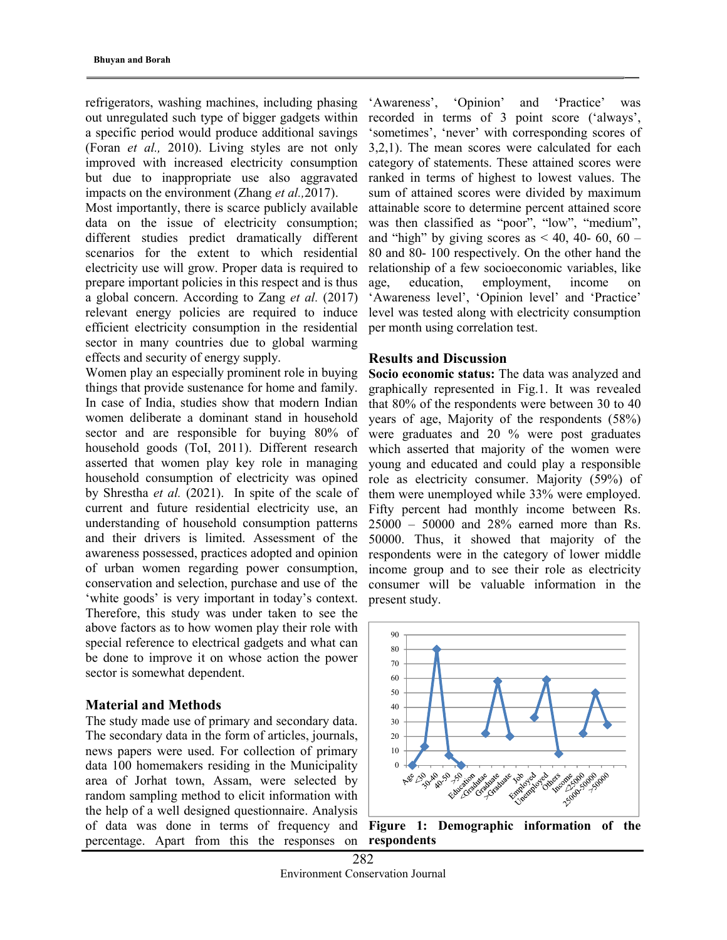refrigerators, washing machines, including phasing out unregulated such type of bigger gadgets within a specific period would produce additional savings (Foran et al., 2010). Living styles are not only improved with increased electricity consumption but due to inappropriate use also aggravated impacts on the environment (Zhang *et al.*, 2017).

Most importantly, there is scarce publicly available data on the issue of electricity consumption; different studies predict dramatically different scenarios for the extent to which residential electricity use will grow. Proper data is required to prepare important policies in this respect and is thus a global concern. According to Zang et al. (2017) relevant energy policies are required to induce efficient electricity consumption in the residential sector in many countries due to global warming effects and security of energy supply.

Women play an especially prominent role in buying things that provide sustenance for home and family. In case of India, studies show that modern Indian women deliberate a dominant stand in household sector and are responsible for buying 80% of household goods (ToI, 2011). Different research asserted that women play key role in managing household consumption of electricity was opined by Shrestha et al. (2021). In spite of the scale of current and future residential electricity use, an understanding of household consumption patterns and their drivers is limited. Assessment of the awareness possessed, practices adopted and opinion of urban women regarding power consumption, conservation and selection, purchase and use of the 'white goods' is very important in today's context. Therefore, this study was under taken to see the above factors as to how women play their role with special reference to electrical gadgets and what can be done to improve it on whose action the power sector is somewhat dependent.

#### Material and Methods

The study made use of primary and secondary data. The secondary data in the form of articles, journals, news papers were used. For collection of primary data 100 homemakers residing in the Municipality area of Jorhat town, Assam, were selected by random sampling method to elicit information with the help of a well designed questionnaire. Analysis of data was done in terms of frequency and percentage. Apart from this the responses on

'Awareness', 'Opinion' and 'Practice' was recorded in terms of 3 point score ('always', 'sometimes', 'never' with corresponding scores of 3,2,1). The mean scores were calculated for each category of statements. These attained scores were ranked in terms of highest to lowest values. The sum of attained scores were divided by maximum attainable score to determine percent attained score was then classified as "poor", "low", "medium", and "high" by giving scores as  $\leq 40$ , 40- 60, 60 – 80 and 80- 100 respectively. On the other hand the relationship of a few socioeconomic variables, like age, education, employment, income on 'Awareness level', 'Opinion level' and 'Practice' level was tested along with electricity consumption per month using correlation test.

## Results and Discussion

Socio economic status: The data was analyzed and graphically represented in Fig.1. It was revealed that 80% of the respondents were between 30 to 40 years of age, Majority of the respondents (58%) were graduates and 20 % were post graduates which asserted that majority of the women were young and educated and could play a responsible role as electricity consumer. Majority (59%) of them were unemployed while 33% were employed. Fifty percent had monthly income between Rs. 25000 – 50000 and 28% earned more than Rs. 50000. Thus, it showed that majority of the respondents were in the category of lower middle income group and to see their role as electricity consumer will be valuable information in the present study.



Figure 1: Demographic information of the respondents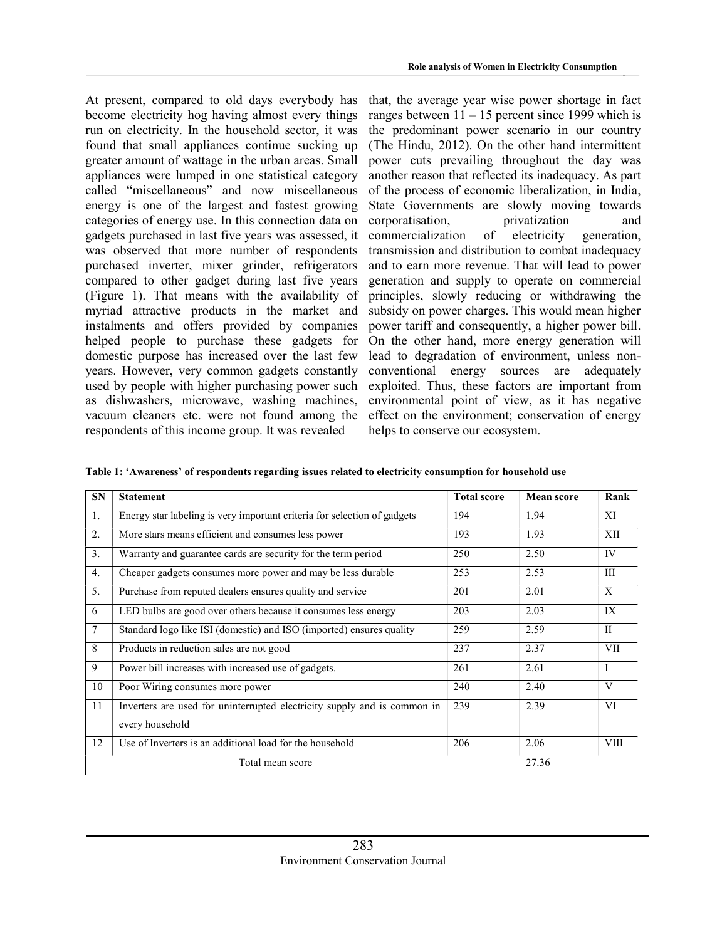At present, compared to old days everybody has become electricity hog having almost every things run on electricity. In the household sector, it was found that small appliances continue sucking up greater amount of wattage in the urban areas. Small appliances were lumped in one statistical category called "miscellaneous" and now miscellaneous energy is one of the largest and fastest growing categories of energy use. In this connection data on gadgets purchased in last five years was assessed, it was observed that more number of respondents purchased inverter, mixer grinder, refrigerators compared to other gadget during last five years (Figure 1). That means with the availability of myriad attractive products in the market and instalments and offers provided by companies helped people to purchase these gadgets for domestic purpose has increased over the last few years. However, very common gadgets constantly used by people with higher purchasing power such as dishwashers, microwave, washing machines, vacuum cleaners etc. were not found among the respondents of this income group. It was revealed

that, the average year wise power shortage in fact ranges between  $11 - 15$  percent since 1999 which is the predominant power scenario in our country (The Hindu, 2012). On the other hand intermittent power cuts prevailing throughout the day was another reason that reflected its inadequacy. As part of the process of economic liberalization, in India, State Governments are slowly moving towards corporatisation, privatization and commercialization of electricity generation, transmission and distribution to combat inadequacy and to earn more revenue. That will lead to power generation and supply to operate on commercial principles, slowly reducing or withdrawing the subsidy on power charges. This would mean higher power tariff and consequently, a higher power bill. On the other hand, more energy generation will lead to degradation of environment, unless nonconventional energy sources are adequately exploited. Thus, these factors are important from environmental point of view, as it has negative effect on the environment; conservation of energy helps to conserve our ecosystem.

Table 1: 'Awareness' of respondents regarding issues related to electricity consumption for household use

| <b>SN</b> | <b>Statement</b>                                                         | <b>Total score</b> | <b>Mean score</b> | Rank        |  |
|-----------|--------------------------------------------------------------------------|--------------------|-------------------|-------------|--|
| 1.        | Energy star labeling is very important criteria for selection of gadgets | 194                | 1.94              | XI          |  |
| 2.        | More stars means efficient and consumes less power                       | 193                | 1.93              | XII         |  |
| 3.        | Warranty and guarantee cards are security for the term period            | 250                | 2.50              | IV          |  |
| 4.        | Cheaper gadgets consumes more power and may be less durable              | 253                | 2.53              | III         |  |
| 5.        | Purchase from reputed dealers ensures quality and service                | 201                | 2.01              | X           |  |
| 6         | LED bulbs are good over others because it consumes less energy           | 203                | 2.03              | IX          |  |
| 7         | Standard logo like ISI (domestic) and ISO (imported) ensures quality     | 259                | 2.59              | $_{\rm II}$ |  |
| 8         | Products in reduction sales are not good                                 | 237                | 2.37              | VII         |  |
| 9         | Power bill increases with increased use of gadgets.                      | 261                | 2.61              | I           |  |
| 10        | Poor Wiring consumes more power                                          | 240                | 2.40              | V           |  |
| 11        | Inverters are used for uninterrupted electricity supply and is common in | 239                | 2.39              | VI          |  |
|           | every household                                                          |                    |                   |             |  |
| 12        | Use of Inverters is an additional load for the household                 | 206                | 2.06              | VIII        |  |
|           | Total mean score                                                         |                    | 27.36             |             |  |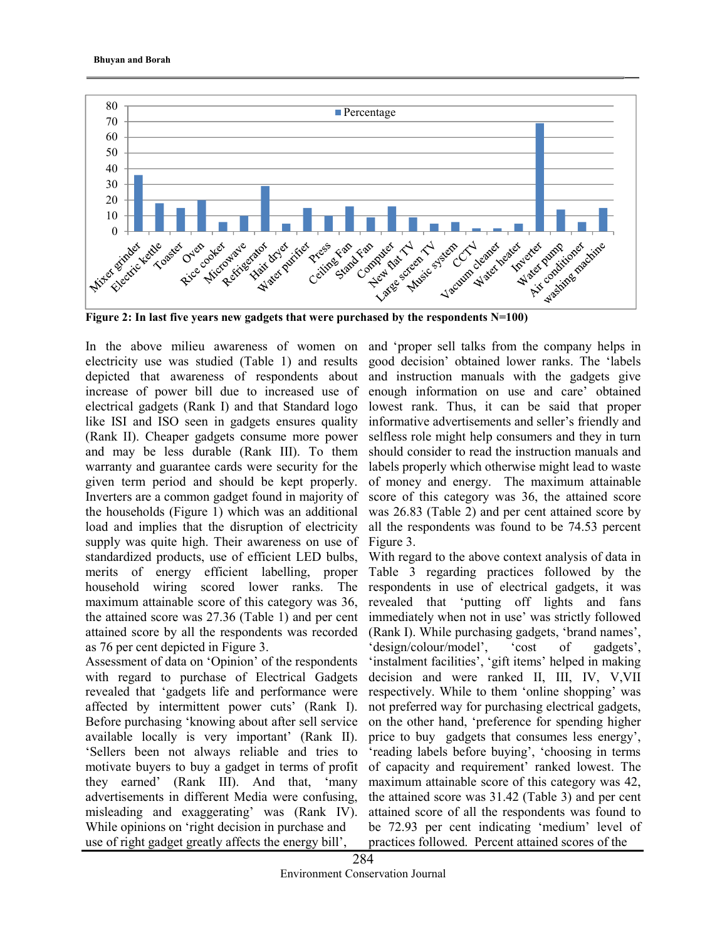

In the above milieu awareness of women on electricity use was studied (Table 1) and results depicted that awareness of respondents about increase of power bill due to increased use of electrical gadgets (Rank I) and that Standard logo like ISI and ISO seen in gadgets ensures quality (Rank II). Cheaper gadgets consume more power and may be less durable (Rank III). To them warranty and guarantee cards were security for the given term period and should be kept properly. Inverters are a common gadget found in majority of the households (Figure 1) which was an additional load and implies that the disruption of electricity supply was quite high. Their awareness on use of standardized products, use of efficient LED bulbs, merits of energy efficient labelling, proper household wiring scored lower ranks. The maximum attainable score of this category was 36, the attained score was 27.36 (Table 1) and per cent attained score by all the respondents was recorded as 76 per cent depicted in Figure 3.

Assessment of data on 'Opinion' of the respondents with regard to purchase of Electrical Gadgets revealed that 'gadgets life and performance were affected by intermittent power cuts' (Rank I). Before purchasing 'knowing about after sell service available locally is very important' (Rank II). 'Sellers been not always reliable and tries to motivate buyers to buy a gadget in terms of profit they earned' (Rank III). And that, 'many advertisements in different Media were confusing, misleading and exaggerating' was (Rank IV). While opinions on 'right decision in purchase and use of right gadget greatly affects the energy bill',

and 'proper sell talks from the company helps in good decision' obtained lower ranks. The 'labels and instruction manuals with the gadgets give enough information on use and care' obtained lowest rank. Thus, it can be said that proper informative advertisements and seller's friendly and selfless role might help consumers and they in turn should consider to read the instruction manuals and labels properly which otherwise might lead to waste of money and energy. The maximum attainable score of this category was 36, the attained score was 26.83 (Table 2) and per cent attained score by all the respondents was found to be 74.53 percent Figure 3.

With regard to the above context analysis of data in Table 3 regarding practices followed by the respondents in use of electrical gadgets, it was revealed that 'putting off lights and fans immediately when not in use' was strictly followed (Rank I). While purchasing gadgets, 'brand names', 'design/colour/model', 'cost of gadgets', 'instalment facilities', 'gift items' helped in making decision and were ranked II, III, IV, V,VII respectively. While to them 'online shopping' was not preferred way for purchasing electrical gadgets, on the other hand, 'preference for spending higher price to buy gadgets that consumes less energy', 'reading labels before buying', 'choosing in terms of capacity and requirement' ranked lowest. The maximum attainable score of this category was 42, the attained score was 31.42 (Table 3) and per cent attained score of all the respondents was found to be 72.93 per cent indicating 'medium' level of practices followed. Percent attained scores of the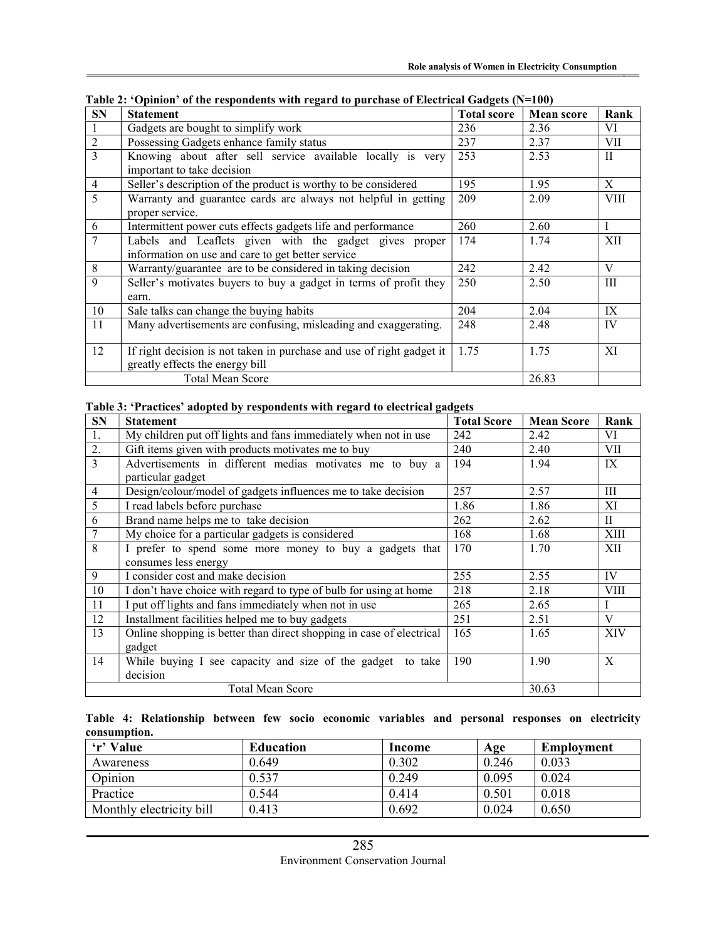| <b>SN</b>      | <b>Statement</b>                                                      | <b>Total score</b> | <b>Mean score</b> | Rank         |
|----------------|-----------------------------------------------------------------------|--------------------|-------------------|--------------|
|                | Gadgets are bought to simplify work                                   | 236                | 2.36              | VI           |
| $\overline{2}$ | Possessing Gadgets enhance family status                              | 237                | 2.37              | VII          |
| 3              | Knowing about after sell service available locally is very            | 253                | 2.53              | $\mathbf{H}$ |
|                | important to take decision                                            |                    |                   |              |
| $\overline{4}$ | Seller's description of the product is worthy to be considered        | 195                | 1.95              | X            |
| 5              | Warranty and guarantee cards are always not helpful in getting        | 209                | 2.09              | <b>VIII</b>  |
|                | proper service.                                                       |                    |                   |              |
| 6              | Intermittent power cuts effects gadgets life and performance          | 260                | 2.60              | $\mathbf{I}$ |
| $\tau$         | Labels and Leaflets given with the gadget gives proper                | 174                | 1.74              | XII          |
|                | information on use and care to get better service                     |                    |                   |              |
| 8              | Warranty/guarantee are to be considered in taking decision            | 242                | 2.42              | V            |
| 9              | Seller's motivates buyers to buy a gadget in terms of profit they     | 250                | 2.50              | Ш            |
|                | earn.                                                                 |                    |                   |              |
| 10             | Sale talks can change the buying habits                               | 204                | 2.04              | IX           |
| 11             | Many advertisements are confusing, misleading and exaggerating.       | 248                | 2.48              | IV           |
|                |                                                                       |                    |                   |              |
| 12             | If right decision is not taken in purchase and use of right gadget it | 1.75               | 1.75              | XI           |
|                | greatly effects the energy bill                                       |                    |                   |              |
|                | <b>Total Mean Score</b>                                               |                    | 26.83             |              |

Table 2: 'Opinion' of the respondents with regard to purchase of Electrical Gadgets (N=100)

#### Table 3: 'Practices' adopted by respondents with regard to electrical gadgets

| <b>SN</b>      | <b>Statement</b>                                                              | <b>Total Score</b> | <b>Mean Score</b> | Rank         |
|----------------|-------------------------------------------------------------------------------|--------------------|-------------------|--------------|
| 1.             | My children put off lights and fans immediately when not in use               | 242                | 2.42              | VI           |
| 2.             | Gift items given with products motivates me to buy                            | 240                | 2.40              | VII          |
| $\overline{3}$ | Advertisements in different medias motivates me to buy a<br>particular gadget | 194                | 1.94              | IX           |
| $\overline{4}$ | Design/colour/model of gadgets influences me to take decision                 | 257                | 2.57              | Ш            |
| 5              | I read labels before purchase                                                 | 1.86               | 1.86              | XI           |
| 6              | Brand name helps me to take decision                                          | 262                | 2.62              | $\mathbf{H}$ |
| 7              | My choice for a particular gadgets is considered                              | 168                | 1.68              | XIII         |
| 8              | I prefer to spend some more money to buy a gadgets that                       | 170                | 1.70              | XII          |
|                | consumes less energy                                                          |                    |                   |              |
| 9              | I consider cost and make decision                                             | 255                | 2.55              | IV           |
| 10             | I don't have choice with regard to type of bulb for using at home             | 218                | 2.18              | <b>VIII</b>  |
| 11             | I put off lights and fans immediately when not in use                         | 265                | 2.65              |              |
| 12             | Installment facilities helped me to buy gadgets                               | 251                | 2.51              | V            |
| 13             | Online shopping is better than direct shopping in case of electrical          | 165                | 1.65              | XIV          |
|                | gadget                                                                        |                    |                   |              |
| 14             | While buying I see capacity and size of the gadget to take                    | 190                | 1.90              | $\mathbf{X}$ |
|                | decision                                                                      |                    |                   |              |
|                | <b>Total Mean Score</b>                                                       |                    | 30.63             |              |

|              | Table 4: Relationship between few socio economic variables and personal responses on electricity |  |  |  |  |  |
|--------------|--------------------------------------------------------------------------------------------------|--|--|--|--|--|
| consumption. |                                                                                                  |  |  |  |  |  |

| 'r' Value                | <b>Education</b> | Income | Age   | Employment |
|--------------------------|------------------|--------|-------|------------|
| Awareness                | 0.649            | 0.302  | 0.246 | 0.033      |
| Opinion                  | 0.537            | 0.249  | 0.095 | 0.024      |
| Practice                 | 0.544            | 0.414  | 0.501 | 0.018      |
| Monthly electricity bill | 0.413            | 0.692  | 0.024 | 0.650      |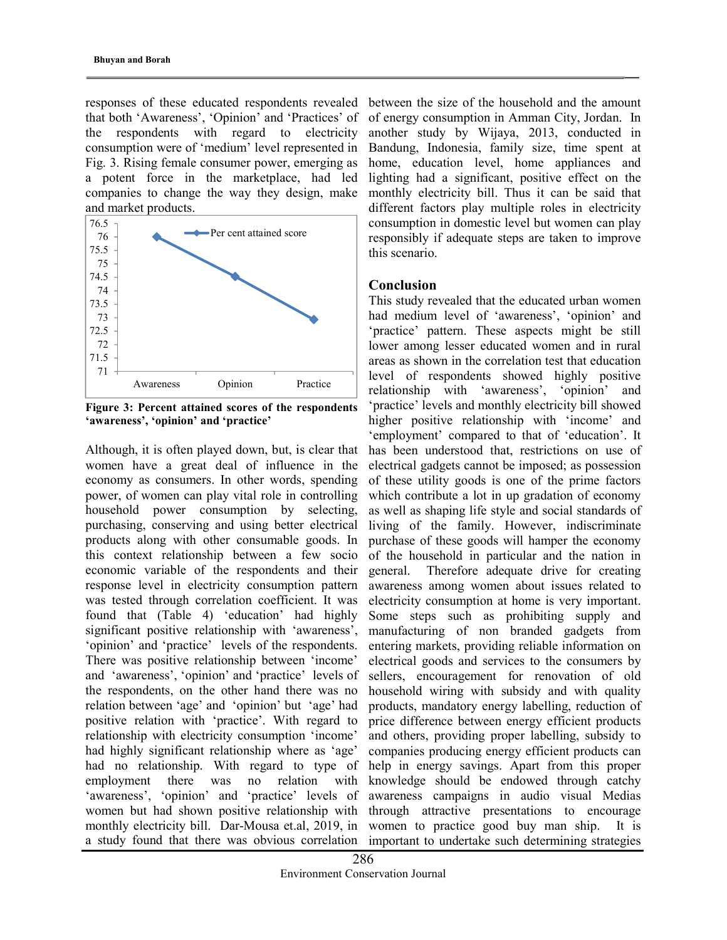responses of these educated respondents revealed that both 'Awareness', 'Opinion' and 'Practices' of the respondents with regard to electricity consumption were of 'medium' level represented in Fig. 3. Rising female consumer power, emerging as a potent force in the marketplace, had led companies to change the way they design, make and market products.



Figure 3: Percent attained scores of the respondents 'awareness', 'opinion' and 'practice'

Although, it is often played down, but, is clear that women have a great deal of influence in the economy as consumers. In other words, spending power, of women can play vital role in controlling household power consumption by selecting, purchasing, conserving and using better electrical products along with other consumable goods. In this context relationship between a few socio economic variable of the respondents and their response level in electricity consumption pattern was tested through correlation coefficient. It was found that (Table 4) 'education' had highly significant positive relationship with 'awareness', 'opinion' and 'practice' levels of the respondents. There was positive relationship between 'income' and 'awareness', 'opinion' and 'practice' levels of the respondents, on the other hand there was no relation between 'age' and 'opinion' but 'age' had positive relation with 'practice'. With regard to relationship with electricity consumption 'income' had highly significant relationship where as 'age' had no relationship. With regard to type of employment there was no relation with 'awareness', 'opinion' and 'practice' levels of women but had shown positive relationship with monthly electricity bill. Dar-Mousa et.al, 2019, in a study found that there was obvious correlation

between the size of the household and the amount of energy consumption in Amman City, Jordan. In another study by Wijaya, 2013, conducted in Bandung, Indonesia, family size, time spent at home, education level, home appliances and lighting had a significant, positive effect on the monthly electricity bill. Thus it can be said that different factors play multiple roles in electricity consumption in domestic level but women can play responsibly if adequate steps are taken to improve this scenario.

### Conclusion

This study revealed that the educated urban women had medium level of 'awareness', 'opinion' and 'practice' pattern. These aspects might be still lower among lesser educated women and in rural areas as shown in the correlation test that education level of respondents showed highly positive relationship with 'awareness', 'opinion' and 'practice' levels and monthly electricity bill showed higher positive relationship with 'income' and 'employment' compared to that of 'education'. It has been understood that, restrictions on use of electrical gadgets cannot be imposed; as possession of these utility goods is one of the prime factors which contribute a lot in up gradation of economy as well as shaping life style and social standards of living of the family. However, indiscriminate purchase of these goods will hamper the economy of the household in particular and the nation in general. Therefore adequate drive for creating awareness among women about issues related to electricity consumption at home is very important. Some steps such as prohibiting supply and manufacturing of non branded gadgets from entering markets, providing reliable information on electrical goods and services to the consumers by sellers, encouragement for renovation of old household wiring with subsidy and with quality products, mandatory energy labelling, reduction of price difference between energy efficient products and others, providing proper labelling, subsidy to companies producing energy efficient products can help in energy savings. Apart from this proper knowledge should be endowed through catchy awareness campaigns in audio visual Medias through attractive presentations to encourage women to practice good buy man ship. It is important to undertake such determining strategies So fitsion and the size of the size of the household and the amount<br>
"Awareness", "Opinion" and "Practices" of of energy consumption in Amman City, Jordan. In<br>
products with regard to electricity another study by Wijaya, 2